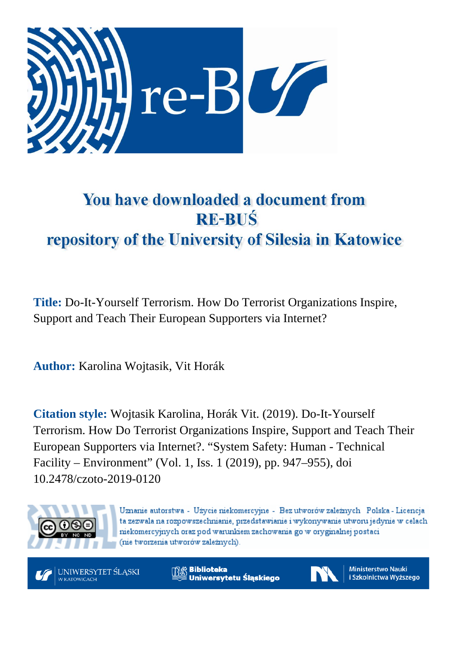

# You have downloaded a document from **RE-BUŚ** repository of the University of Silesia in Katowice

**Title:** Do-It-Yourself Terrorism. How Do Terrorist Organizations Inspire, Support and Teach Their European Supporters via Internet?

**Author:** Karolina Wojtasik, Vit Horák

**Citation style:** Wojtasik Karolina, Horák Vit. (2019). Do-It-Yourself Terrorism. How Do Terrorist Organizations Inspire, Support and Teach Their European Supporters via Internet?. "System Safety: Human - Technical Facility – Environment" (Vol. 1, Iss. 1 (2019), pp. 947–955), doi 10.2478/czoto-2019-0120



Uznanie autorstwa - Użycie niekomercyjne - Bez utworów zależnych Polska - Licencja ta zezwala na rozpowszechnianie, przedstawianie i wykonywanie utworu jedynie w celach niekomercyjnych oraz pod warunkiem zachowania go w oryginalnej postaci (nie tworzenia utworów zależnych).

UNIWERSYTET ŚLĄSKI **V KATOWICACH** 

**Biblioteka** Uniwersytetu Śląskiego



**Ministerstwo Nauki** i Szkolnictwa Wyższego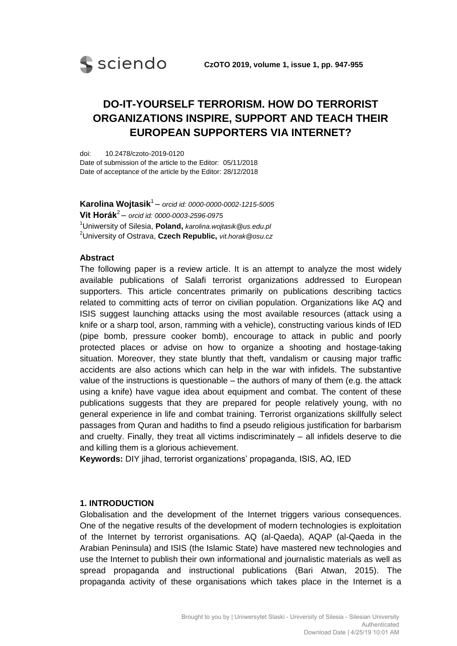

# **DO-IT-YOURSELF TERRORISM. HOW DO TERRORIST ORGANIZATIONS INSPIRE, SUPPORT AND TEACH THEIR EUROPEAN SUPPORTERS VIA INTERNET?**

doi: 10.2478/czoto-2019-0120 Date of submission of the article to the Editor: 05/11/2018 Date of acceptance of the article by the Editor: 28/12/2018

**Karolina Wojtasik**<sup>1</sup> – *orcid id: 0000-0000-0002-1215-5005* **Vit Horák**<sup>2</sup> – *orcid id: 0000-0003-2596-0975* <sup>1</sup>Uniwersity of Silesia, **Poland,** *karolina.wojtasik@us.edu.pl* <sup>2</sup>University of Ostrava, **Czech Republic,** *vit.horak@osu.cz*

#### **Abstract**

The following paper is a review article. It is an attempt to analyze the most widely available publications of Salafi terrorist organizations addressed to European supporters. This article concentrates primarily on publications describing tactics related to committing acts of terror on civilian population. Organizations like AQ and ISIS suggest launching attacks using the most available resources (attack using a knife or a sharp tool, arson, ramming with a vehicle), constructing various kinds of IED (pipe bomb, pressure cooker bomb), encourage to attack in public and poorly protected places or advise on how to organize a shooting and hostage-taking situation. Moreover, they state bluntly that theft, vandalism or causing major traffic accidents are also actions which can help in the war with infidels. The substantive value of the instructions is questionable – the authors of many of them (e.g. the attack using a knife) have vague idea about equipment and combat. The content of these publications suggests that they are prepared for people relatively young, with no general experience in life and combat training. Terrorist organizations skillfully select passages from Quran and hadiths to find a pseudo religious justification for barbarism and cruelty. Finally, they treat all victims indiscriminately – all infidels deserve to die and killing them is a glorious achievement.

**Keywords:** DIY jihad, terrorist organizations' propaganda, ISIS, AQ, IED

### **1. INTRODUCTION**

Globalisation and the development of the Internet triggers various consequences. One of the negative results of the development of modern technologies is exploitation of the Internet by terrorist organisations. AQ (al-Qaeda), AQAP (al-Qaeda in the Arabian Peninsula) and ISIS (the Islamic State) have mastered new technologies and use the Internet to publish their own informational and journalistic materials as well as spread propaganda and instructional publications (Bari Atwan, 2015). The propaganda activity of these organisations which takes place in the Internet is a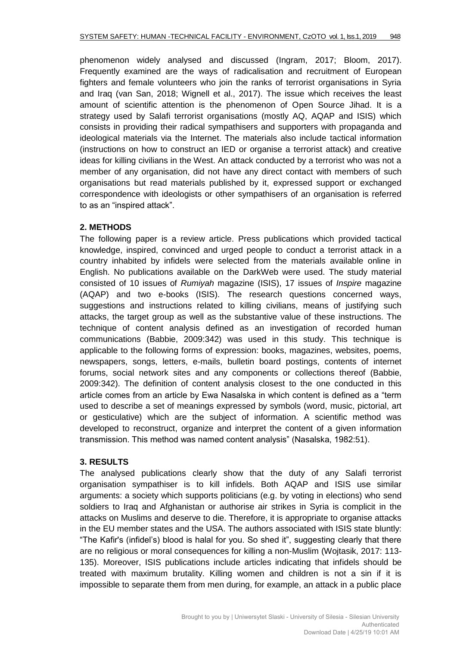phenomenon widely analysed and discussed (Ingram, 2017; Bloom, 2017). Frequently examined are the ways of radicalisation and recruitment of European fighters and female volunteers who join the ranks of terrorist organisations in Syria and Iraq (van San, 2018; Wignell et al., 2017). The issue which receives the least amount of scientific attention is the phenomenon of Open Source Jihad. It is a strategy used by Salafi terrorist organisations (mostly AQ, AQAP and ISIS) which consists in providing their radical sympathisers and supporters with propaganda and ideological materials via the Internet. The materials also include tactical information (instructions on how to construct an IED or organise a terrorist attack) and creative ideas for killing civilians in the West. An attack conducted by a terrorist who was not a member of any organisation, did not have any direct contact with members of such organisations but read materials published by it, expressed support or exchanged correspondence with ideologists or other sympathisers of an organisation is referred to as an "inspired attack".

# **2. METHODS**

The following paper is a review article. Press publications which provided tactical knowledge, inspired, convinced and urged people to conduct a terrorist attack in a country inhabited by infidels were selected from the materials available online in English. No publications available on the DarkWeb were used. The study material consisted of 10 issues of *Rumiyah* magazine (ISIS), 17 issues of *Inspire* magazine (AQAP) and two e-books (ISIS). The research questions concerned ways, suggestions and instructions related to killing civilians, means of justifying such attacks, the target group as well as the substantive value of these instructions. The technique of content analysis defined as an investigation of recorded human communications (Babbie, 2009:342) was used in this study. This technique is applicable to the following forms of expression: books, magazines, websites, poems, newspapers, songs, letters, e-mails, bulletin board postings, contents of internet forums, social network sites and any components or collections thereof (Babbie, 2009:342). The definition of content analysis closest to the one conducted in this article comes from an article by Ewa Nasalska in which content is defined as a "term used to describe a set of meanings expressed by symbols (word, music, pictorial, art or gesticulative) which are the subject of information. A scientific method was developed to reconstruct, organize and interpret the content of a given information transmission. This method was named content analysis" (Nasalska, 1982:51).

# **3. RESULTS**

The analysed publications clearly show that the duty of any Salafi terrorist organisation sympathiser is to kill infidels. Both AQAP and ISIS use similar arguments: a society which supports politicians (e.g. by voting in elections) who send soldiers to Iraq and Afghanistan or authorise air strikes in Syria is complicit in the attacks on Muslims and deserve to die. Therefore, it is appropriate to organise attacks in the EU member states and the USA. The authors associated with ISIS state bluntly: "The Kafir's (infidel's) blood is halal for you. So shed it", suggesting clearly that there are no religious or moral consequences for killing a non-Muslim (Wojtasik, 2017: 113- 135). Moreover, ISIS publications include articles indicating that infidels should be treated with maximum brutality. Killing women and children is not a sin if it is impossible to separate them from men during, for example, an attack in a public place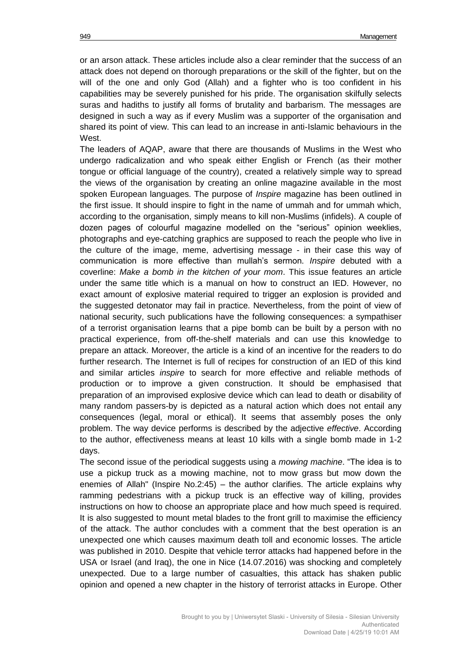or an arson attack. These articles include also a clear reminder that the success of an attack does not depend on thorough preparations or the skill of the fighter, but on the will of the one and only God (Allah) and a fighter who is too confident in his capabilities may be severely punished for his pride. The organisation skilfully selects suras and hadiths to justify all forms of brutality and barbarism. The messages are designed in such a way as if every Muslim was a supporter of the organisation and shared its point of view. This can lead to an increase in anti-Islamic behaviours in the West.

The leaders of AQAP, aware that there are thousands of Muslims in the West who undergo radicalization and who speak either English or French (as their mother tongue or official language of the country), created a relatively simple way to spread the views of the organisation by creating an online magazine available in the most spoken European languages. The purpose of *Inspire* magazine has been outlined in the first issue. It should inspire to fight in the name of ummah and for ummah which, according to the organisation, simply means to kill non-Muslims (infidels). A couple of dozen pages of colourful magazine modelled on the "serious" opinion weeklies, photographs and eye-catching graphics are supposed to reach the people who live in the culture of the image, meme, advertising message - in their case this way of communication is more effective than mullah's sermon. *Inspire* debuted with a coverline: *Make a bomb in the kitchen of your mom*. This issue features an article under the same title which is a manual on how to construct an IED. However, no exact amount of explosive material required to trigger an explosion is provided and the suggested detonator may fail in practice. Nevertheless, from the point of view of national security, such publications have the following consequences: a sympathiser of a terrorist organisation learns that a pipe bomb can be built by a person with no practical experience, from off-the-shelf materials and can use this knowledge to prepare an attack. Moreover, the article is a kind of an incentive for the readers to do further research. The Internet is full of recipes for construction of an IED of this kind and similar articles *inspire* to search for more effective and reliable methods of production or to improve a given construction. It should be emphasised that preparation of an improvised explosive device which can lead to death or disability of many random passers-by is depicted as a natural action which does not entail any consequences (legal, moral or ethical). It seems that assembly poses the only problem. The way device performs is described by the adjective *effective*. According to the author, effectiveness means at least 10 kills with a single bomb made in 1-2 days.

The second issue of the periodical suggests using a *mowing machine*. "The idea is to use a pickup truck as a mowing machine, not to mow grass but mow down the enemies of Allah" (Inspire No.2:45) – the author clarifies. The article explains why ramming pedestrians with a pickup truck is an effective way of killing, provides instructions on how to choose an appropriate place and how much speed is required. It is also suggested to mount metal blades to the front grill to maximise the efficiency of the attack. The author concludes with a comment that the best operation is an unexpected one which causes maximum death toll and economic losses. The article was published in 2010. Despite that vehicle terror attacks had happened before in the USA or Israel (and Iraq), the one in Nice (14.07.2016) was shocking and completely unexpected. Due to a large number of casualties, this attack has shaken public opinion and opened a new chapter in the history of terrorist attacks in Europe. Other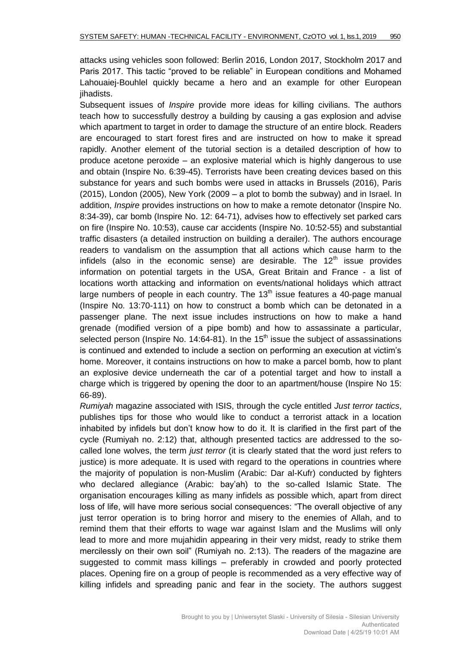attacks using vehicles soon followed: Berlin 2016, London 2017, Stockholm 2017 and Paris 2017. This tactic "proved to be reliable" in European conditions and Mohamed Lahouaiej-Bouhlel quickly became a hero and an example for other European jihadists.

Subsequent issues of *Inspire* provide more ideas for killing civilians. The authors teach how to successfully destroy a building by causing a gas explosion and advise which apartment to target in order to damage the structure of an entire block. Readers are encouraged to start forest fires and are instructed on how to make it spread rapidly. Another element of the tutorial section is a detailed description of how to produce acetone peroxide – an explosive material which is highly dangerous to use and obtain (Inspire No. 6:39-45). Terrorists have been creating devices based on this substance for years and such bombs were used in attacks in Brussels (2016), Paris (2015), London (2005), New York (2009 – a plot to bomb the subway) and in Israel. In addition, *Inspire* provides instructions on how to make a remote detonator (Inspire No. 8:34-39), car bomb (Inspire No. 12: 64-71), advises how to effectively set parked cars on fire (Inspire No. 10:53), cause car accidents (Inspire No. 10:52-55) and substantial traffic disasters (a detailed instruction on building a derailer). The authors encourage readers to vandalism on the assumption that all actions which cause harm to the infidels (also in the economic sense) are desirable. The  $12<sup>th</sup>$  issue provides information on potential targets in the USA, Great Britain and France - a list of locations worth attacking and information on events/national holidays which attract large numbers of people in each country. The  $13<sup>th</sup>$  issue features a 40-page manual (Inspire No. 13:70-111) on how to construct a bomb which can be detonated in a passenger plane. The next issue includes instructions on how to make a hand grenade (modified version of a pipe bomb) and how to assassinate a particular, selected person (Inspire No. 14:64-81). In the  $15<sup>th</sup>$  issue the subject of assassinations is continued and extended to include a section on performing an execution at victim's home. Moreover, it contains instructions on how to make a parcel bomb, how to plant an explosive device underneath the car of a potential target and how to install a charge which is triggered by opening the door to an apartment/house (Inspire No 15: 66-89).

*Rumiyah* magazine associated with ISIS, through the cycle entitled *Just terror tactics*, publishes tips for those who would like to conduct a terrorist attack in a location inhabited by infidels but don't know how to do it. It is clarified in the first part of the cycle (Rumiyah no. 2:12) that, although presented tactics are addressed to the socalled lone wolves, the term *just terror* (it is clearly stated that the word just refers to justice) is more adequate. It is used with regard to the operations in countries where the majority of population is non-Muslim (Arabic: Dar al-Kufr) conducted by fighters who declared allegiance (Arabic: bay'ah) to the so-called Islamic State. The organisation encourages killing as many infidels as possible which, apart from direct loss of life, will have more serious social consequences: "The overall objective of any just terror operation is to bring horror and misery to the enemies of Allah, and to remind them that their efforts to wage war against Islam and the Muslims will only lead to more and more mujahidin appearing in their very midst, ready to strike them mercilessly on their own soil" (Rumiyah no. 2:13). The readers of the magazine are suggested to commit mass killings – preferably in crowded and poorly protected places. Opening fire on a group of people is recommended as a very effective way of killing infidels and spreading panic and fear in the society. The authors suggest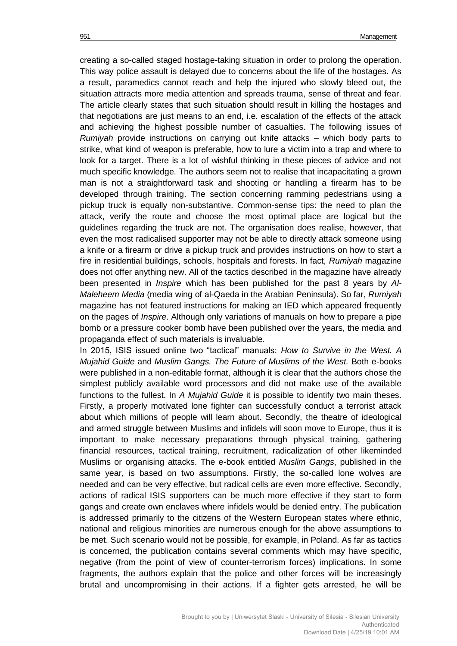creating a so-called staged hostage-taking situation in order to prolong the operation. This way police assault is delayed due to concerns about the life of the hostages. As a result, paramedics cannot reach and help the injured who slowly bleed out, the situation attracts more media attention and spreads trauma, sense of threat and fear. The article clearly states that such situation should result in killing the hostages and that negotiations are just means to an end, i.e. escalation of the effects of the attack and achieving the highest possible number of casualties. The following issues of *Rumiyah* provide instructions on carrying out knife attacks – which body parts to strike, what kind of weapon is preferable, how to lure a victim into a trap and where to look for a target. There is a lot of wishful thinking in these pieces of advice and not much specific knowledge. The authors seem not to realise that incapacitating a grown man is not a straightforward task and shooting or handling a firearm has to be developed through training. The section concerning ramming pedestrians using a pickup truck is equally non-substantive. Common-sense tips: the need to plan the attack, verify the route and choose the most optimal place are logical but the guidelines regarding the truck are not. The organisation does realise, however, that even the most radicalised supporter may not be able to directly attack someone using a knife or a firearm or drive a pickup truck and provides instructions on how to start a fire in residential buildings, schools, hospitals and forests. In fact, *Rumiyah* magazine does not offer anything new. All of the tactics described in the magazine have already been presented in *Inspire* which has been published for the past 8 years by *Al-Maleheem Media* (media wing of al-Qaeda in the Arabian Peninsula). So far, *Rumiyah* magazine has not featured instructions for making an IED which appeared frequently on the pages of *Inspire*. Although only variations of manuals on how to prepare a pipe bomb or a pressure cooker bomb have been published over the years, the media and propaganda effect of such materials is invaluable.

In 2015, ISIS issued online two "tactical" manuals: *How to Survive in the West. A Mujahid Guide* and *Muslim Gangs. The Future of Muslims of the West.* Both e-books were published in a non-editable format, although it is clear that the authors chose the simplest publicly available word processors and did not make use of the available functions to the fullest. In *A Mujahid Guide* it is possible to identify two main theses. Firstly, a properly motivated lone fighter can successfully conduct a terrorist attack about which millions of people will learn about. Secondly, the theatre of ideological and armed struggle between Muslims and infidels will soon move to Europe, thus it is important to make necessary preparations through physical training, gathering financial resources, tactical training, recruitment, radicalization of other likeminded Muslims or organising attacks. The e-book entitled *Muslim Gangs*, published in the same year, is based on two assumptions. Firstly, the so-called lone wolves are needed and can be very effective, but radical cells are even more effective. Secondly, actions of radical ISIS supporters can be much more effective if they start to form gangs and create own enclaves where infidels would be denied entry. The publication is addressed primarily to the citizens of the Western European states where ethnic, national and religious minorities are numerous enough for the above assumptions to be met. Such scenario would not be possible, for example, in Poland. As far as tactics is concerned, the publication contains several comments which may have specific, negative (from the point of view of counter-terrorism forces) implications. In some fragments, the authors explain that the police and other forces will be increasingly brutal and uncompromising in their actions. If a fighter gets arrested, he will be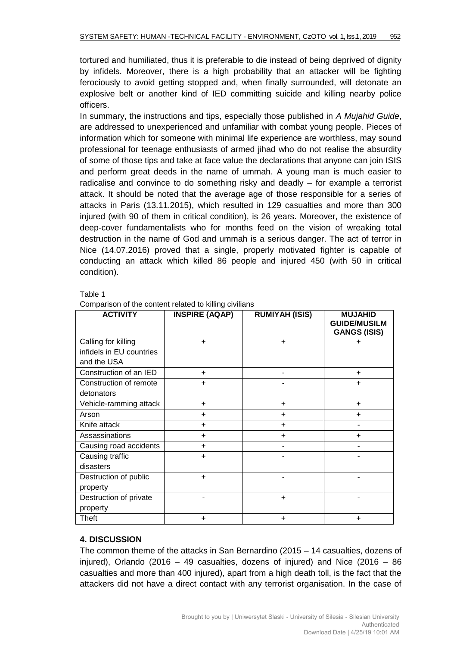tortured and humiliated, thus it is preferable to die instead of being deprived of dignity by infidels. Moreover, there is a high probability that an attacker will be fighting ferociously to avoid getting stopped and, when finally surrounded, will detonate an explosive belt or another kind of IED committing suicide and killing nearby police officers.

In summary, the instructions and tips, especially those published in *A Mujahid Guide*, are addressed to unexperienced and unfamiliar with combat young people. Pieces of information which for someone with minimal life experience are worthless, may sound professional for teenage enthusiasts of armed jihad who do not realise the absurdity of some of those tips and take at face value the declarations that anyone can join ISIS and perform great deeds in the name of ummah. A young man is much easier to radicalise and convince to do something risky and deadly – for example a terrorist attack. It should be noted that the average age of those responsible for a series of attacks in Paris (13.11.2015), which resulted in 129 casualties and more than 300 injured (with 90 of them in critical condition), is 26 years. Moreover, the existence of deep-cover fundamentalists who for months feed on the vision of wreaking total destruction in the name of God and ummah is a serious danger. The act of terror in Nice (14.07.2016) proved that a single, properly motivated fighter is capable of conducting an attack which killed 86 people and injured 450 (with 50 in critical condition).

#### Table 1

| <b>ACTIVITY</b>          | <b>INSPIRE (AQAP)</b> | <b>RUMIYAH (ISIS)</b> | <b>MUJAHID</b><br><b>GUIDE/MUSILM</b><br><b>GANGS (ISIS)</b> |
|--------------------------|-----------------------|-----------------------|--------------------------------------------------------------|
| Calling for killing      | $\ddot{}$             | $\ddot{}$             | $\ddot{}$                                                    |
| infidels in EU countries |                       |                       |                                                              |
| and the USA              |                       |                       |                                                              |
| Construction of an IED   | $\ddot{}$             |                       | $\ddot{}$                                                    |
| Construction of remote   | $\ddot{}$             |                       | $\ddot{}$                                                    |
| detonators               |                       |                       |                                                              |
| Vehicle-ramming attack   | $\ddot{}$             | $\ddot{}$             | $\ddot{}$                                                    |
| Arson                    | $\ddot{}$             | $\ddot{}$             | ÷                                                            |
| Knife attack             | $+$                   | $\ddot{}$             |                                                              |
| Assassinations           | $\ddot{}$             | $\ddot{}$             | $\ddot{}$                                                    |
| Causing road accidents   | $\ddot{}$             |                       |                                                              |
| Causing traffic          | $\ddot{}$             |                       |                                                              |
| disasters                |                       |                       |                                                              |
| Destruction of public    | $\ddot{}$             |                       |                                                              |
| property                 |                       |                       |                                                              |
| Destruction of private   |                       | $\ddot{}$             |                                                              |
| property                 |                       |                       |                                                              |
| Theft                    | $\ddot{}$             | $\ddot{}$             | $\ddot{}$                                                    |

#### Comparison of the content related to killing civilians

# **4. DISCUSSION**

The common theme of the attacks in San Bernardino (2015 – 14 casualties, dozens of injured), Orlando (2016 – 49 casualties, dozens of injured) and Nice (2016 – 86 casualties and more than 400 injured), apart from a high death toll, is the fact that the attackers did not have a direct contact with any terrorist organisation. In the case of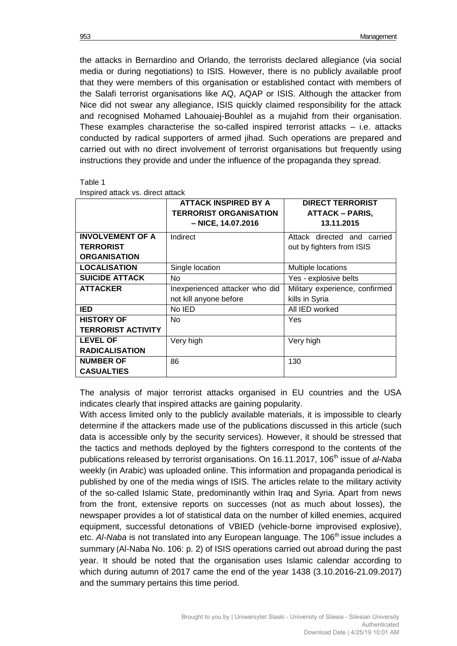the attacks in Bernardino and Orlando, the terrorists declared allegiance (via social media or during negotiations) to ISIS. However, there is no publicly available proof that they were members of this organisation or established contact with members of the Salafi terrorist organisations like AQ, AQAP or ISIS. Although the attacker from Nice did not swear any allegiance, ISIS quickly claimed responsibility for the attack and recognised Mohamed Lahouaiej-Bouhlel as a mujahid from their organisation. These examples characterise the so-called inspired terrorist attacks – i.e. attacks conducted by radical supporters of armed jihad. Such operations are prepared and carried out with no direct involvement of terrorist organisations but frequently using instructions they provide and under the influence of the propaganda they spread.

| эr<br>ш |  |
|---------|--|
|---------|--|

|                           | <b>ATTACK INSPIRED BY A</b><br><b>TERRORIST ORGANISATION</b><br>- NICE, 14.07.2016 | <b>DIRECT TERRORIST</b><br><b>ATTACK – PARIS,</b><br>13.11.2015 |  |
|---------------------------|------------------------------------------------------------------------------------|-----------------------------------------------------------------|--|
| <b>INVOLVEMENT OF A</b>   | Indirect                                                                           | Attack directed and carried                                     |  |
| <b>TERRORIST</b>          |                                                                                    | out by fighters from ISIS                                       |  |
| <b>ORGANISATION</b>       |                                                                                    |                                                                 |  |
| <b>LOCALISATION</b>       | Single location                                                                    | Multiple locations                                              |  |
| <b>SUICIDE ATTACK</b>     | No.                                                                                | Yes - explosive belts                                           |  |
| <b>ATTACKER</b>           | Inexperienced attacker who did                                                     | Military experience, confirmed                                  |  |
|                           | not kill anyone before                                                             | kills in Syria                                                  |  |
| <b>IED</b>                | No IED                                                                             | All IED worked                                                  |  |
| <b>HISTORY OF</b>         | No.                                                                                | Yes                                                             |  |
| <b>TERRORIST ACTIVITY</b> |                                                                                    |                                                                 |  |
| <b>LEVEL OF</b>           | Very high                                                                          | Very high                                                       |  |
| <b>RADICALISATION</b>     |                                                                                    |                                                                 |  |
| <b>NUMBER OF</b>          | 86                                                                                 | 130                                                             |  |
| <b>CASUALTIES</b>         |                                                                                    |                                                                 |  |

Inspired attack vs. direct attack

The analysis of major terrorist attacks organised in EU countries and the USA indicates clearly that inspired attacks are gaining popularity.

With access limited only to the publicly available materials, it is impossible to clearly determine if the attackers made use of the publications discussed in this article (such data is accessible only by the security services). However, it should be stressed that the tactics and methods deployed by the fighters correspond to the contents of the publications released by terrorist organisations. On 16.11.2017, 106<sup>th</sup> issue of *al-Naba* weekly (in Arabic) was uploaded online. This information and propaganda periodical is published by one of the media wings of ISIS. The articles relate to the military activity of the so-called Islamic State, predominantly within Iraq and Syria. Apart from news from the front, extensive reports on successes (not as much about losses), the newspaper provides a lot of statistical data on the number of killed enemies, acquired equipment, successful detonations of VBIED (vehicle-borne improvised explosive), etc. *Al-Naba* is not translated into any European language. The 106<sup>th</sup> issue includes a summary (Al-Naba No. 106: p. 2) of ISIS operations carried out abroad during the past year. It should be noted that the organisation uses Islamic calendar according to which during autumn of 2017 came the end of the year 1438 (3.10.2016-21.09.2017) and the summary pertains this time period.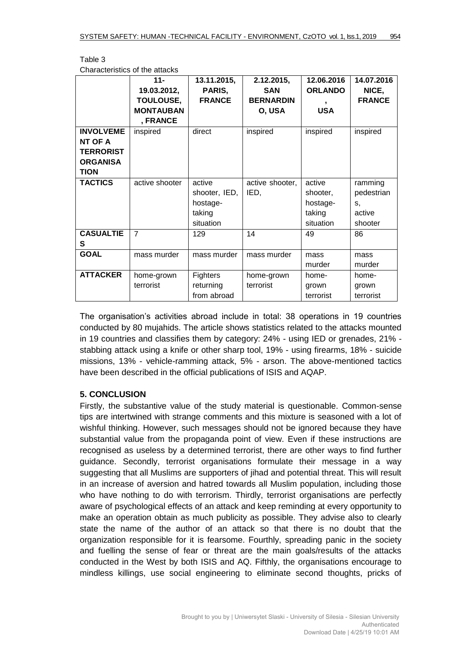|                                                                                   | $11 -$<br>19.03.2012,<br><b>TOULOUSE,</b><br><b>MONTAUBAN</b><br>, FRANCE | 13.11.2015,<br>PARIS,<br><b>FRANCE</b>                     | 2.12.2015,<br><b>SAN</b><br><b>BERNARDIN</b><br>O, USA | 12.06.2016<br><b>ORLANDO</b><br><b>USA</b>            | 14.07.2016<br>NICE,<br><b>FRANCE</b>             |
|-----------------------------------------------------------------------------------|---------------------------------------------------------------------------|------------------------------------------------------------|--------------------------------------------------------|-------------------------------------------------------|--------------------------------------------------|
| <b>INVOLVEME</b><br>NT OF A<br><b>TERRORIST</b><br><b>ORGANISA</b><br><b>TION</b> | inspired                                                                  | direct                                                     | inspired                                               | inspired                                              | inspired                                         |
| <b>TACTICS</b>                                                                    | active shooter                                                            | active<br>shooter, IED,<br>hostage-<br>taking<br>situation | active shooter,<br>IED,                                | active<br>shooter,<br>hostage-<br>taking<br>situation | ramming<br>pedestrian<br>S,<br>active<br>shooter |
| <b>CASUALTIE</b><br>S                                                             | $\overline{7}$                                                            | 129                                                        | 14                                                     | 49                                                    | 86                                               |
| <b>GOAL</b>                                                                       | mass murder                                                               | mass murder                                                | mass murder                                            | mass<br>murder                                        | mass<br>murder                                   |
| <b>ATTACKER</b>                                                                   | home-grown<br>terrorist                                                   | Fighters<br>returning<br>from abroad                       | home-grown<br>terrorist                                | home-<br>grown<br>terrorist                           | home-<br>grown<br>terrorist                      |

Table 3 Characteristics of the attacks

The organisation's activities abroad include in total: 38 operations in 19 countries conducted by 80 mujahids. The article shows statistics related to the attacks mounted in 19 countries and classifies them by category: 24% - using IED or grenades, 21% stabbing attack using a knife or other sharp tool, 19% - using firearms, 18% - suicide missions, 13% - vehicle-ramming attack, 5% - arson. The above-mentioned tactics have been described in the official publications of ISIS and AQAP.

# **5. CONCLUSION**

Firstly, the substantive value of the study material is questionable. Common-sense tips are intertwined with strange comments and this mixture is seasoned with a lot of wishful thinking. However, such messages should not be ignored because they have substantial value from the propaganda point of view. Even if these instructions are recognised as useless by a determined terrorist, there are other ways to find further guidance. Secondly, terrorist organisations formulate their message in a way suggesting that all Muslims are supporters of jihad and potential threat. This will result in an increase of aversion and hatred towards all Muslim population, including those who have nothing to do with terrorism. Thirdly, terrorist organisations are perfectly aware of psychological effects of an attack and keep reminding at every opportunity to make an operation obtain as much publicity as possible. They advise also to clearly state the name of the author of an attack so that there is no doubt that the organization responsible for it is fearsome. Fourthly, spreading panic in the society and fuelling the sense of fear or threat are the main goals/results of the attacks conducted in the West by both ISIS and AQ. Fifthly, the organisations encourage to mindless killings, use social engineering to eliminate second thoughts, pricks of